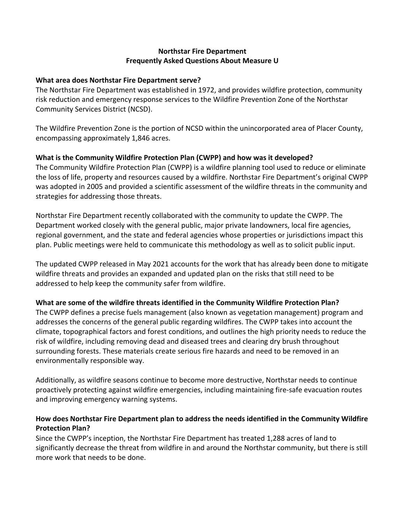#### **Northstar Fire Department Frequently Asked Questions About Measure U**

#### **What area does Northstar Fire Department serve?**

The Northstar Fire Department was established in 1972, and provides wildfire protection, community risk reduction and emergency response services to the Wildfire Prevention Zone of the Northstar Community Services District (NCSD).

The Wildfire Prevention Zone is the portion of NCSD within the unincorporated area of Placer County, encompassing approximately 1,846 acres.

#### **What is the Community Wildfire Protection Plan (CWPP) and how was it developed?**

The Community Wildfire Protection Plan (CWPP) is a wildfire planning tool used to reduce or eliminate the loss of life, property and resources caused by a wildfire. Northstar Fire Department's original CWPP was adopted in 2005 and provided a scientific assessment of the wildfire threats in the community and strategies for addressing those threats.

Northstar Fire Department recently collaborated with the community to update the CWPP. The Department worked closely with the general public, major private landowners, local fire agencies, regional government, and the state and federal agencies whose properties or jurisdictions impact this plan. Public meetings were held to communicate this methodology as well as to solicit public input.

The updated CWPP released in May 2021 accounts for the work that has already been done to mitigate wildfire threats and provides an expanded and updated plan on the risks that still need to be addressed to help keep the community safer from wildfire.

#### **What are some of the wildfire threats identified in the Community Wildfire Protection Plan?**

The CWPP defines a precise fuels management (also known as vegetation management) program and addresses the concerns of the general public regarding wildfires. The CWPP takes into account the climate, topographical factors and forest conditions, and outlines the high priority needs to reduce the risk of wildfire, including removing dead and diseased trees and clearing dry brush throughout surrounding forests. These materials create serious fire hazards and need to be removed in an environmentally responsible way.

Additionally, as wildfire seasons continue to become more destructive, Northstar needs to continue proactively protecting against wildfire emergencies, including maintaining fire-safe evacuation routes and improving emergency warning systems.

#### **How does Northstar Fire Department plan to address the needs identified in the Community Wildfire Protection Plan?**

Since the CWPP's inception, the Northstar Fire Department has treated 1,288 acres of land to significantly decrease the threat from wildfire in and around the Northstar community, but there is still more work that needs to be done.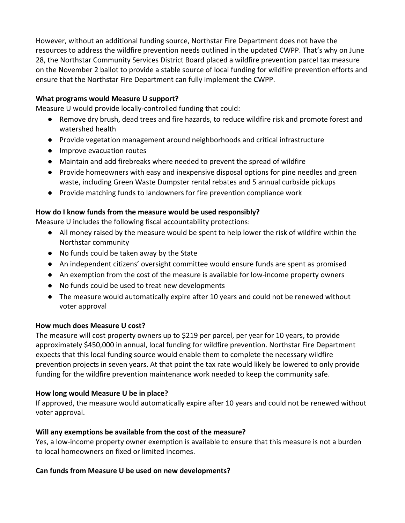However, without an additional funding source, Northstar Fire Department does not have the resources to address the wildfire prevention needs outlined in the updated CWPP. That's why on June 28, the Northstar Community Services District Board placed a wildfire prevention parcel tax measure on the November 2 ballot to provide a stable source of local funding for wildfire prevention efforts and ensure that the Northstar Fire Department can fully implement the CWPP.

#### **What programs would Measure U support?**

Measure U would provide locally-controlled funding that could:

- Remove dry brush, dead trees and fire hazards, to reduce wildfire risk and promote forest and watershed health
- Provide vegetation management around neighborhoods and critical infrastructure
- Improve evacuation routes
- Maintain and add firebreaks where needed to prevent the spread of wildfire
- Provide homeowners with easy and inexpensive disposal options for pine needles and green waste, including Green Waste Dumpster rental rebates and 5 annual curbside pickups
- Provide matching funds to landowners for fire prevention compliance work

### **How do I know funds from the measure would be used responsibly?**

Measure U includes the following fiscal accountability protections:

- All money raised by the measure would be spent to help lower the risk of wildfire within the Northstar community
- No funds could be taken away by the State
- An independent citizens' oversight committee would ensure funds are spent as promised
- An exemption from the cost of the measure is available for low-income property owners
- No funds could be used to treat new developments
- The measure would automatically expire after 10 years and could not be renewed without voter approval

# **How much does Measure U cost?**

The measure will cost property owners up to \$219 per parcel, per year for 10 years, to provide approximately \$450,000 in annual, local funding for wildfire prevention. Northstar Fire Department expects that this local funding source would enable them to complete the necessary wildfire prevention projects in seven years. At that point the tax rate would likely be lowered to only provide funding for the wildfire prevention maintenance work needed to keep the community safe.

# **How long would Measure U be in place?**

If approved, the measure would automatically expire after 10 years and could not be renewed without voter approval.

# **Will any exemptions be available from the cost of the measure?**

Yes, a low-income property owner exemption is available to ensure that this measure is not a burden to local homeowners on fixed or limited incomes.

# **Can funds from Measure U be used on new developments?**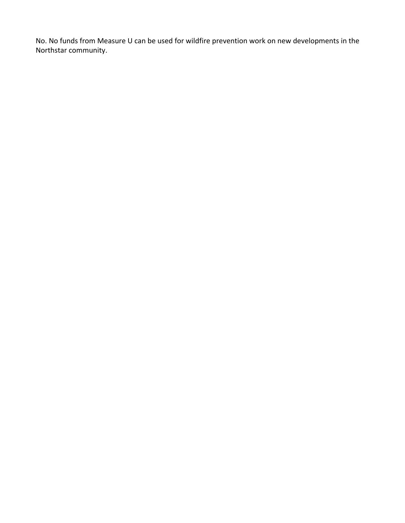No. No funds from Measure U can be used for wildfire prevention work on new developments in the Northstar community.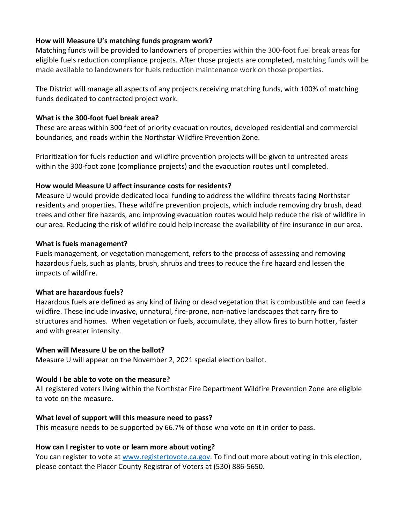#### **How will Measure U's matching funds program work?**

Matching funds will be provided to landowners of properties within the 300-foot fuel break areas for eligible fuels reduction compliance projects. After those projects are completed, matching funds will be made available to landowners for fuels reduction maintenance work on those properties.

The District will manage all aspects of any projects receiving matching funds, with 100% of matching funds dedicated to contracted project work.

### **What is the 300-foot fuel break area?**

These are areas within 300 feet of priority evacuation routes, developed residential and commercial boundaries, and roads within the Northstar Wildfire Prevention Zone.

Prioritization for fuels reduction and wildfire prevention projects will be given to untreated areas within the 300-foot zone (compliance projects) and the evacuation routes until completed.

### **How would Measure U affect insurance costs for residents?**

Measure U would provide dedicated local funding to address the wildfire threats facing Northstar residents and properties. These wildfire prevention projects, which include removing dry brush, dead trees and other fire hazards, and improving evacuation routes would help reduce the risk of wildfire in our area. Reducing the risk of wildfire could help increase the availability of fire insurance in our area.

#### **What is fuels management?**

Fuels management, or vegetation management, refers to the process of assessing and removing hazardous fuels, such as plants, brush, shrubs and trees to reduce the fire hazard and lessen the impacts of wildfire.

#### **What are hazardous fuels?**

Hazardous fuels are defined as any kind of living or dead vegetation that is combustible and can feed a wildfire. These include invasive, unnatural, fire-prone, non-native landscapes that carry fire to structures and homes. When vegetation or fuels, accumulate, they allow fires to burn hotter, faster and with greater intensity.

#### **When will Measure U be on the ballot?**

Measure U will appear on the November 2, 2021 special election ballot.

# **Would I be able to vote on the measure?**

All registered voters living within the Northstar Fire Department Wildfire Prevention Zone are eligible to vote on the measure.

# **What level of support will this measure need to pass?**

This measure needs to be supported by 66.7% of those who vote on it in order to pass.

# **How can I register to vote or learn more about voting?**

You can register to vote at www.registertovote.ca.gov. To find out more about voting in this election, please contact the Placer County Registrar of Voters at (530) 886-5650.